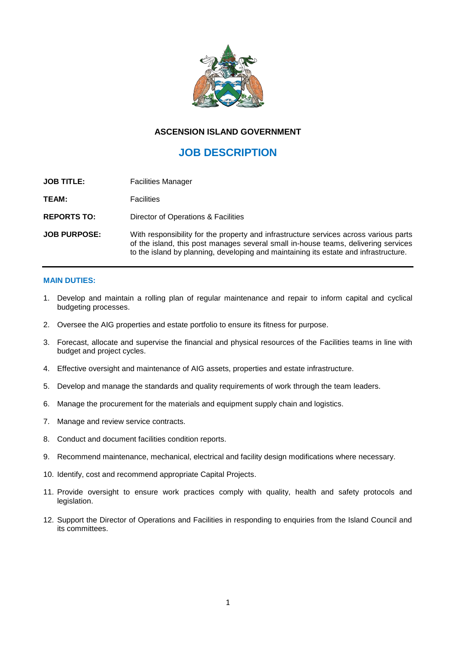

# **ASCENSION ISLAND GOVERNMENT**

# **JOB DESCRIPTION**

| <b>JOB TITLE:</b>   | <b>Facilities Manager</b>                                                                                                                                                                                                                                           |
|---------------------|---------------------------------------------------------------------------------------------------------------------------------------------------------------------------------------------------------------------------------------------------------------------|
| TEAM:               | <b>Facilities</b>                                                                                                                                                                                                                                                   |
| <b>REPORTS TO:</b>  | Director of Operations & Facilities                                                                                                                                                                                                                                 |
| <b>JOB PURPOSE:</b> | With responsibility for the property and infrastructure services across various parts<br>of the island, this post manages several small in-house teams, delivering services<br>to the island by planning, developing and maintaining its estate and infrastructure. |

## **MAIN DUTIES:**

- 1. Develop and maintain a rolling plan of regular maintenance and repair to inform capital and cyclical budgeting processes.
- 2. Oversee the AIG properties and estate portfolio to ensure its fitness for purpose.
- 3. Forecast, allocate and supervise the financial and physical resources of the Facilities teams in line with budget and project cycles.
- 4. Effective oversight and maintenance of AIG assets, properties and estate infrastructure.
- 5. Develop and manage the standards and quality requirements of work through the team leaders.
- 6. Manage the procurement for the materials and equipment supply chain and logistics.
- 7. Manage and review service contracts.
- 8. Conduct and document facilities condition reports.
- 9. Recommend maintenance, mechanical, electrical and facility design modifications where necessary.
- 10. Identify, cost and recommend appropriate Capital Projects.
- 11. Provide oversight to ensure work practices comply with quality, health and safety protocols and legislation.
- 12. Support the Director of Operations and Facilities in responding to enquiries from the Island Council and its committees.